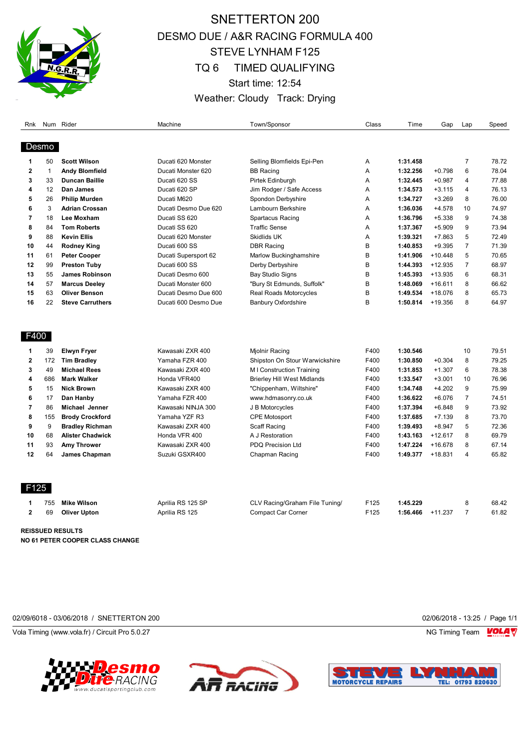

## SNETTERTON 200 DESMO DUE / A&R RACING FORMULA 400 STEVE LYNHAM F125 TQ 6 TIMED QUALIFYING Start time: 12:54 Weather: Cloudy Track: Drying

| Desmo<br>50<br><b>Scott Wilson</b><br>Ducati 620 Monster<br>Selling Blomfields Epi-Pen<br>1:31.458<br>7<br>1<br>Α<br>6<br>2<br>$\mathbf{1}$<br>1:32.256<br>$+0.798$<br><b>Andy Blomfield</b><br>Ducati Monster 620<br><b>BB Racing</b><br>Α<br>3<br>33<br><b>Duncan Baillie</b><br>Ducati 620 SS<br>Pirtek Edinburgh<br>Α<br>1:32.445<br>$+0.987$<br>4<br>4<br>12<br>Dan James<br>Ducati 620 SP<br>Jim Rodger / Safe Access<br>Α<br>1:34.573<br>$+3.115$<br>4<br><b>Philip Murden</b><br>Ducati M620<br>8<br>5<br>26<br>Spondon Derbyshire<br>Α<br>1:34.727<br>$+3.269$<br>3<br>6<br><b>Adrian Crossan</b><br>Ducati Desmo Due 620<br>Α<br>1:36.036<br>$+4.578$<br>10<br>Lambourn Berkshire<br>7<br>9<br>18<br>Ducati SS 620<br>Lee Moxham<br>Spartacus Racing<br>Α<br>1:36.796<br>$+5.338$<br>8<br><b>Tom Roberts</b><br>Ducati SS 620<br><b>Traffic Sense</b><br>1:37.367<br>$+5.909$<br>9<br>84<br>Α<br>5<br>9<br>88<br><b>Kevin Ellis</b><br>Ducati 620 Monster<br>Skidlids UK<br>1:39.321<br>$+7.863$<br>Α<br>B<br>1:40.853<br>$\overline{7}$<br>10<br>44<br><b>Rodney King</b><br>Ducati 600 SS<br><b>DBR Racing</b><br>$+9.395$<br>B<br>5<br>61<br>1:41.906<br>$+10.448$<br>11<br><b>Peter Cooper</b><br>Ducati Supersport 62<br>Marlow Buckinghamshire<br>12<br>99<br>Ducati 600 SS<br>B<br>1:44.393<br>$+12.935$<br>$\overline{7}$<br><b>Preston Tuby</b><br>Derby Derbyshire<br>B<br>1:45.393<br>$+13.935$<br>6<br>13<br>55<br><b>James Robinson</b><br>Ducati Desmo 600<br>Bay Studio Signs<br>B<br>57<br><b>Marcus Deelev</b><br>"Bury St Edmunds, Suffolk"<br>1:48.069<br>$+16.611$<br>8<br>14<br>Ducati Monster 600<br>63<br>B<br>1:49.534<br>8<br>15<br><b>Oliver Benson</b><br>Real Roads Motorcycles<br>+18.076<br>Ducati Desmo Due 600<br>22<br>B<br>1:50.814<br>$+19.356$<br>8<br>16<br><b>Steve Carruthers</b><br>Ducati 600 Desmo Due<br><b>Banbury Oxfordshire</b><br>F400<br>F400<br>39<br><b>Elwyn Fryer</b><br>Kawasaki ZXR 400<br>Mjolnir Racing<br>1:30.546<br>10<br>1<br>F400<br>8<br>2<br>172<br><b>Tim Bradley</b><br>Yamaha FZR 400<br>Shipston On Stour Warwickshire<br>1:30.850<br>$+0.304$<br>3<br>49<br><b>Michael Rees</b><br>Kawasaki ZXR 400<br>F400<br>1:31.853<br>$+1.307$<br>6<br>M I Construction Training<br>4<br>686<br><b>Mark Walker</b><br>Honda VFR400<br>F400<br>1:33.547<br>$+3.001$<br>10<br><b>Brierley Hill West Midlands</b><br>5<br>F400<br>1:34.748<br>$+4.202$<br>9<br>15<br><b>Nick Brown</b><br>Kawasaki ZXR 400<br>"Chippenham, Wiltshire"<br>6<br>F400<br>$+6.076$<br>$\overline{7}$<br>17<br>Dan Hanby<br>Yamaha FZR 400<br>www.hdmasonry.co.uk<br>1:36.622<br>7<br>9<br>86<br>Michael Jenner<br>Kawasaki NINJA 300<br>F400<br>1:37.394<br>$+6.848$<br>J B Motorcycles<br>8<br>155<br><b>Brody Crockford</b><br>Yamaha YZF R3<br><b>CPE Motosport</b><br>F400<br>1:37.685<br>$+7.139$<br>8<br>9<br>9<br>Kawasaki ZXR 400<br>5<br><b>Bradley Richman</b><br>Scaff Racing<br>F400<br>1:39.493<br>$+8.947$ | Speed |
|-----------------------------------------------------------------------------------------------------------------------------------------------------------------------------------------------------------------------------------------------------------------------------------------------------------------------------------------------------------------------------------------------------------------------------------------------------------------------------------------------------------------------------------------------------------------------------------------------------------------------------------------------------------------------------------------------------------------------------------------------------------------------------------------------------------------------------------------------------------------------------------------------------------------------------------------------------------------------------------------------------------------------------------------------------------------------------------------------------------------------------------------------------------------------------------------------------------------------------------------------------------------------------------------------------------------------------------------------------------------------------------------------------------------------------------------------------------------------------------------------------------------------------------------------------------------------------------------------------------------------------------------------------------------------------------------------------------------------------------------------------------------------------------------------------------------------------------------------------------------------------------------------------------------------------------------------------------------------------------------------------------------------------------------------------------------------------------------------------------------------------------------------------------------------------------------------------------------------------------------------------------------------------------------------------------------------------------------------------------------------------------------------------------------------------------------------------------------------------------------------------------------------------------------------------------------------------------------------------------------------------------------------------------------------------------------------------------------------------------------------------------------------------------------------------------------------------------------------------------------------------------------------------------------------------------------------------------------------|-------|
|                                                                                                                                                                                                                                                                                                                                                                                                                                                                                                                                                                                                                                                                                                                                                                                                                                                                                                                                                                                                                                                                                                                                                                                                                                                                                                                                                                                                                                                                                                                                                                                                                                                                                                                                                                                                                                                                                                                                                                                                                                                                                                                                                                                                                                                                                                                                                                                                                                                                                                                                                                                                                                                                                                                                                                                                                                                                                                                                                                       |       |
|                                                                                                                                                                                                                                                                                                                                                                                                                                                                                                                                                                                                                                                                                                                                                                                                                                                                                                                                                                                                                                                                                                                                                                                                                                                                                                                                                                                                                                                                                                                                                                                                                                                                                                                                                                                                                                                                                                                                                                                                                                                                                                                                                                                                                                                                                                                                                                                                                                                                                                                                                                                                                                                                                                                                                                                                                                                                                                                                                                       | 78.72 |
|                                                                                                                                                                                                                                                                                                                                                                                                                                                                                                                                                                                                                                                                                                                                                                                                                                                                                                                                                                                                                                                                                                                                                                                                                                                                                                                                                                                                                                                                                                                                                                                                                                                                                                                                                                                                                                                                                                                                                                                                                                                                                                                                                                                                                                                                                                                                                                                                                                                                                                                                                                                                                                                                                                                                                                                                                                                                                                                                                                       | 78.04 |
|                                                                                                                                                                                                                                                                                                                                                                                                                                                                                                                                                                                                                                                                                                                                                                                                                                                                                                                                                                                                                                                                                                                                                                                                                                                                                                                                                                                                                                                                                                                                                                                                                                                                                                                                                                                                                                                                                                                                                                                                                                                                                                                                                                                                                                                                                                                                                                                                                                                                                                                                                                                                                                                                                                                                                                                                                                                                                                                                                                       | 77.88 |
|                                                                                                                                                                                                                                                                                                                                                                                                                                                                                                                                                                                                                                                                                                                                                                                                                                                                                                                                                                                                                                                                                                                                                                                                                                                                                                                                                                                                                                                                                                                                                                                                                                                                                                                                                                                                                                                                                                                                                                                                                                                                                                                                                                                                                                                                                                                                                                                                                                                                                                                                                                                                                                                                                                                                                                                                                                                                                                                                                                       | 76.13 |
|                                                                                                                                                                                                                                                                                                                                                                                                                                                                                                                                                                                                                                                                                                                                                                                                                                                                                                                                                                                                                                                                                                                                                                                                                                                                                                                                                                                                                                                                                                                                                                                                                                                                                                                                                                                                                                                                                                                                                                                                                                                                                                                                                                                                                                                                                                                                                                                                                                                                                                                                                                                                                                                                                                                                                                                                                                                                                                                                                                       | 76.00 |
|                                                                                                                                                                                                                                                                                                                                                                                                                                                                                                                                                                                                                                                                                                                                                                                                                                                                                                                                                                                                                                                                                                                                                                                                                                                                                                                                                                                                                                                                                                                                                                                                                                                                                                                                                                                                                                                                                                                                                                                                                                                                                                                                                                                                                                                                                                                                                                                                                                                                                                                                                                                                                                                                                                                                                                                                                                                                                                                                                                       | 74.97 |
|                                                                                                                                                                                                                                                                                                                                                                                                                                                                                                                                                                                                                                                                                                                                                                                                                                                                                                                                                                                                                                                                                                                                                                                                                                                                                                                                                                                                                                                                                                                                                                                                                                                                                                                                                                                                                                                                                                                                                                                                                                                                                                                                                                                                                                                                                                                                                                                                                                                                                                                                                                                                                                                                                                                                                                                                                                                                                                                                                                       | 74.38 |
|                                                                                                                                                                                                                                                                                                                                                                                                                                                                                                                                                                                                                                                                                                                                                                                                                                                                                                                                                                                                                                                                                                                                                                                                                                                                                                                                                                                                                                                                                                                                                                                                                                                                                                                                                                                                                                                                                                                                                                                                                                                                                                                                                                                                                                                                                                                                                                                                                                                                                                                                                                                                                                                                                                                                                                                                                                                                                                                                                                       | 73.94 |
|                                                                                                                                                                                                                                                                                                                                                                                                                                                                                                                                                                                                                                                                                                                                                                                                                                                                                                                                                                                                                                                                                                                                                                                                                                                                                                                                                                                                                                                                                                                                                                                                                                                                                                                                                                                                                                                                                                                                                                                                                                                                                                                                                                                                                                                                                                                                                                                                                                                                                                                                                                                                                                                                                                                                                                                                                                                                                                                                                                       | 72.49 |
|                                                                                                                                                                                                                                                                                                                                                                                                                                                                                                                                                                                                                                                                                                                                                                                                                                                                                                                                                                                                                                                                                                                                                                                                                                                                                                                                                                                                                                                                                                                                                                                                                                                                                                                                                                                                                                                                                                                                                                                                                                                                                                                                                                                                                                                                                                                                                                                                                                                                                                                                                                                                                                                                                                                                                                                                                                                                                                                                                                       | 71.39 |
|                                                                                                                                                                                                                                                                                                                                                                                                                                                                                                                                                                                                                                                                                                                                                                                                                                                                                                                                                                                                                                                                                                                                                                                                                                                                                                                                                                                                                                                                                                                                                                                                                                                                                                                                                                                                                                                                                                                                                                                                                                                                                                                                                                                                                                                                                                                                                                                                                                                                                                                                                                                                                                                                                                                                                                                                                                                                                                                                                                       | 70.65 |
|                                                                                                                                                                                                                                                                                                                                                                                                                                                                                                                                                                                                                                                                                                                                                                                                                                                                                                                                                                                                                                                                                                                                                                                                                                                                                                                                                                                                                                                                                                                                                                                                                                                                                                                                                                                                                                                                                                                                                                                                                                                                                                                                                                                                                                                                                                                                                                                                                                                                                                                                                                                                                                                                                                                                                                                                                                                                                                                                                                       | 68.97 |
|                                                                                                                                                                                                                                                                                                                                                                                                                                                                                                                                                                                                                                                                                                                                                                                                                                                                                                                                                                                                                                                                                                                                                                                                                                                                                                                                                                                                                                                                                                                                                                                                                                                                                                                                                                                                                                                                                                                                                                                                                                                                                                                                                                                                                                                                                                                                                                                                                                                                                                                                                                                                                                                                                                                                                                                                                                                                                                                                                                       | 68.31 |
|                                                                                                                                                                                                                                                                                                                                                                                                                                                                                                                                                                                                                                                                                                                                                                                                                                                                                                                                                                                                                                                                                                                                                                                                                                                                                                                                                                                                                                                                                                                                                                                                                                                                                                                                                                                                                                                                                                                                                                                                                                                                                                                                                                                                                                                                                                                                                                                                                                                                                                                                                                                                                                                                                                                                                                                                                                                                                                                                                                       | 66.62 |
|                                                                                                                                                                                                                                                                                                                                                                                                                                                                                                                                                                                                                                                                                                                                                                                                                                                                                                                                                                                                                                                                                                                                                                                                                                                                                                                                                                                                                                                                                                                                                                                                                                                                                                                                                                                                                                                                                                                                                                                                                                                                                                                                                                                                                                                                                                                                                                                                                                                                                                                                                                                                                                                                                                                                                                                                                                                                                                                                                                       | 65.73 |
|                                                                                                                                                                                                                                                                                                                                                                                                                                                                                                                                                                                                                                                                                                                                                                                                                                                                                                                                                                                                                                                                                                                                                                                                                                                                                                                                                                                                                                                                                                                                                                                                                                                                                                                                                                                                                                                                                                                                                                                                                                                                                                                                                                                                                                                                                                                                                                                                                                                                                                                                                                                                                                                                                                                                                                                                                                                                                                                                                                       | 64.97 |
|                                                                                                                                                                                                                                                                                                                                                                                                                                                                                                                                                                                                                                                                                                                                                                                                                                                                                                                                                                                                                                                                                                                                                                                                                                                                                                                                                                                                                                                                                                                                                                                                                                                                                                                                                                                                                                                                                                                                                                                                                                                                                                                                                                                                                                                                                                                                                                                                                                                                                                                                                                                                                                                                                                                                                                                                                                                                                                                                                                       |       |
|                                                                                                                                                                                                                                                                                                                                                                                                                                                                                                                                                                                                                                                                                                                                                                                                                                                                                                                                                                                                                                                                                                                                                                                                                                                                                                                                                                                                                                                                                                                                                                                                                                                                                                                                                                                                                                                                                                                                                                                                                                                                                                                                                                                                                                                                                                                                                                                                                                                                                                                                                                                                                                                                                                                                                                                                                                                                                                                                                                       | 79.51 |
|                                                                                                                                                                                                                                                                                                                                                                                                                                                                                                                                                                                                                                                                                                                                                                                                                                                                                                                                                                                                                                                                                                                                                                                                                                                                                                                                                                                                                                                                                                                                                                                                                                                                                                                                                                                                                                                                                                                                                                                                                                                                                                                                                                                                                                                                                                                                                                                                                                                                                                                                                                                                                                                                                                                                                                                                                                                                                                                                                                       | 79.25 |
|                                                                                                                                                                                                                                                                                                                                                                                                                                                                                                                                                                                                                                                                                                                                                                                                                                                                                                                                                                                                                                                                                                                                                                                                                                                                                                                                                                                                                                                                                                                                                                                                                                                                                                                                                                                                                                                                                                                                                                                                                                                                                                                                                                                                                                                                                                                                                                                                                                                                                                                                                                                                                                                                                                                                                                                                                                                                                                                                                                       | 78.38 |
|                                                                                                                                                                                                                                                                                                                                                                                                                                                                                                                                                                                                                                                                                                                                                                                                                                                                                                                                                                                                                                                                                                                                                                                                                                                                                                                                                                                                                                                                                                                                                                                                                                                                                                                                                                                                                                                                                                                                                                                                                                                                                                                                                                                                                                                                                                                                                                                                                                                                                                                                                                                                                                                                                                                                                                                                                                                                                                                                                                       | 76.96 |
|                                                                                                                                                                                                                                                                                                                                                                                                                                                                                                                                                                                                                                                                                                                                                                                                                                                                                                                                                                                                                                                                                                                                                                                                                                                                                                                                                                                                                                                                                                                                                                                                                                                                                                                                                                                                                                                                                                                                                                                                                                                                                                                                                                                                                                                                                                                                                                                                                                                                                                                                                                                                                                                                                                                                                                                                                                                                                                                                                                       | 75.99 |
|                                                                                                                                                                                                                                                                                                                                                                                                                                                                                                                                                                                                                                                                                                                                                                                                                                                                                                                                                                                                                                                                                                                                                                                                                                                                                                                                                                                                                                                                                                                                                                                                                                                                                                                                                                                                                                                                                                                                                                                                                                                                                                                                                                                                                                                                                                                                                                                                                                                                                                                                                                                                                                                                                                                                                                                                                                                                                                                                                                       | 74.51 |
|                                                                                                                                                                                                                                                                                                                                                                                                                                                                                                                                                                                                                                                                                                                                                                                                                                                                                                                                                                                                                                                                                                                                                                                                                                                                                                                                                                                                                                                                                                                                                                                                                                                                                                                                                                                                                                                                                                                                                                                                                                                                                                                                                                                                                                                                                                                                                                                                                                                                                                                                                                                                                                                                                                                                                                                                                                                                                                                                                                       | 73.92 |
|                                                                                                                                                                                                                                                                                                                                                                                                                                                                                                                                                                                                                                                                                                                                                                                                                                                                                                                                                                                                                                                                                                                                                                                                                                                                                                                                                                                                                                                                                                                                                                                                                                                                                                                                                                                                                                                                                                                                                                                                                                                                                                                                                                                                                                                                                                                                                                                                                                                                                                                                                                                                                                                                                                                                                                                                                                                                                                                                                                       | 73.70 |
|                                                                                                                                                                                                                                                                                                                                                                                                                                                                                                                                                                                                                                                                                                                                                                                                                                                                                                                                                                                                                                                                                                                                                                                                                                                                                                                                                                                                                                                                                                                                                                                                                                                                                                                                                                                                                                                                                                                                                                                                                                                                                                                                                                                                                                                                                                                                                                                                                                                                                                                                                                                                                                                                                                                                                                                                                                                                                                                                                                       | 72.36 |
| 68<br><b>Alister Chadwick</b><br>Honda VFR 400<br>A J Restoration<br>F400<br>$+12.617$<br>8<br>10<br>1:43.163                                                                                                                                                                                                                                                                                                                                                                                                                                                                                                                                                                                                                                                                                                                                                                                                                                                                                                                                                                                                                                                                                                                                                                                                                                                                                                                                                                                                                                                                                                                                                                                                                                                                                                                                                                                                                                                                                                                                                                                                                                                                                                                                                                                                                                                                                                                                                                                                                                                                                                                                                                                                                                                                                                                                                                                                                                                         | 69.79 |
| 8<br>11<br>93<br>Amy Thrower<br>Kawasaki ZXR 400<br>PDQ Precision Ltd<br>F400<br>1:47.224<br>+16.678                                                                                                                                                                                                                                                                                                                                                                                                                                                                                                                                                                                                                                                                                                                                                                                                                                                                                                                                                                                                                                                                                                                                                                                                                                                                                                                                                                                                                                                                                                                                                                                                                                                                                                                                                                                                                                                                                                                                                                                                                                                                                                                                                                                                                                                                                                                                                                                                                                                                                                                                                                                                                                                                                                                                                                                                                                                                  | 67.14 |
| F400<br>12<br>64<br>James Chapman<br>Suzuki GSXR400<br>Chapman Racing<br>1:49.377<br>$+18.831$<br>$\overline{\mathbf{4}}$                                                                                                                                                                                                                                                                                                                                                                                                                                                                                                                                                                                                                                                                                                                                                                                                                                                                                                                                                                                                                                                                                                                                                                                                                                                                                                                                                                                                                                                                                                                                                                                                                                                                                                                                                                                                                                                                                                                                                                                                                                                                                                                                                                                                                                                                                                                                                                                                                                                                                                                                                                                                                                                                                                                                                                                                                                             | 65.82 |
| F125                                                                                                                                                                                                                                                                                                                                                                                                                                                                                                                                                                                                                                                                                                                                                                                                                                                                                                                                                                                                                                                                                                                                                                                                                                                                                                                                                                                                                                                                                                                                                                                                                                                                                                                                                                                                                                                                                                                                                                                                                                                                                                                                                                                                                                                                                                                                                                                                                                                                                                                                                                                                                                                                                                                                                                                                                                                                                                                                                                  |       |
| F125<br>1:45.229<br>8<br>755<br><b>Mike Wilson</b><br>Aprilia RS 125 SP<br>CLV Racing/Graham File Tuning/<br>1                                                                                                                                                                                                                                                                                                                                                                                                                                                                                                                                                                                                                                                                                                                                                                                                                                                                                                                                                                                                                                                                                                                                                                                                                                                                                                                                                                                                                                                                                                                                                                                                                                                                                                                                                                                                                                                                                                                                                                                                                                                                                                                                                                                                                                                                                                                                                                                                                                                                                                                                                                                                                                                                                                                                                                                                                                                        | 68.42 |
| $\overline{2}$<br>F125<br>69<br>1:56.466<br>$+11.237$<br>$\overline{7}$<br><b>Oliver Upton</b><br>Aprilia RS 125<br><b>Compact Car Corner</b>                                                                                                                                                                                                                                                                                                                                                                                                                                                                                                                                                                                                                                                                                                                                                                                                                                                                                                                                                                                                                                                                                                                                                                                                                                                                                                                                                                                                                                                                                                                                                                                                                                                                                                                                                                                                                                                                                                                                                                                                                                                                                                                                                                                                                                                                                                                                                                                                                                                                                                                                                                                                                                                                                                                                                                                                                         | 61.82 |

**REISSUED RESULTS NO 61 PETER COOPER CLASS CHANGE**

02/09/6018 - 03/06/2018 / SNETTERTON 200 02/06/2018 - 13:25 / Page 1/1

Vola Timing (www.vola.fr) / Circuit Pro 5.0.27 NG Timing Team NG Timing Team NG Timing Team NG Timing Team NG





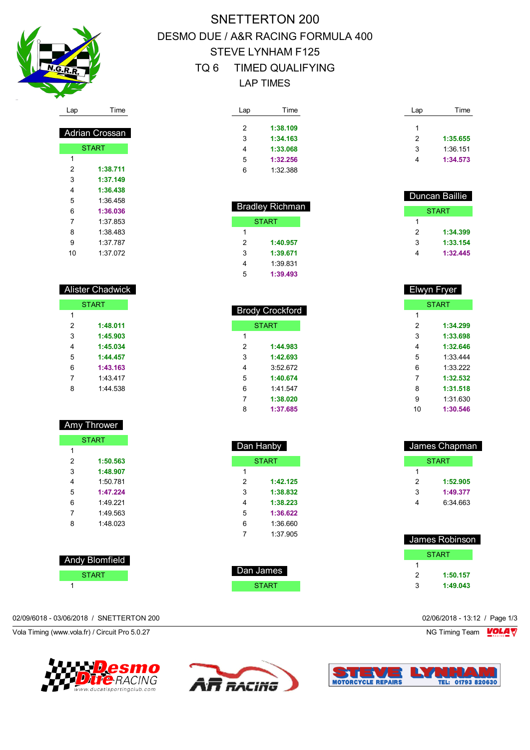

 Adrian Crossan **START** 

 **1:38.711 1:37.149 1:36.438** 1:36.458 **1:36.036** 1:37.853 1:38.483 1:37.787 1:37.072

 Alister Chadwick **START** 

> **1:48.011 1:45.903 1:45.034 1:44.457 1:43.163** 1:43.417 1:44.538

Amy Thrower

**START** 

 **1:50.563 1:48.907** 1:50.781 **1:47.224** 1:49.221 1:49.563 1:48.023

## SNETTERTON 200 DESMO DUE / A&R RACING FORMULA 400 STEVE LYNHAM F125 TQ 6 TIMED QUALIFYING LAP TIMES

| Lap | Time     |
|-----|----------|
|     |          |
| 2   | 1:38.109 |
| 3   | 1:34.163 |
| 4   | 1:33.068 |
| 5   | 1:32.256 |
| հ   | 1:32.388 |

 Bradley Richman START

> **1:40.957 1:39.671** 1:39.831 **1:39.493**

| Lap | Time     |
|-----|----------|
| 1   |          |
| 2   | 1:35.655 |
| 3   | 1:36.151 |
|     | 1:34.573 |

| Duncan Baillie |   |
|----------------|---|
| <b>START</b>   |   |
|                | 1 |
| 1:34.399       | 2 |
| 1:33.154       | 3 |
| 1:32.445       |   |
|                |   |

| Elwyn Fryer  |          |  |  |
|--------------|----------|--|--|
| <b>START</b> |          |  |  |
| 1            |          |  |  |
| 2            | 1:34.299 |  |  |
| 3            | 1:33.698 |  |  |
| 4            | 1:32.646 |  |  |
| 5            | 1:33 444 |  |  |
| 6            | 1:33.222 |  |  |
| 7            | 1:32.532 |  |  |
| 8            | 1:31.518 |  |  |
| 9            | 1:31.630 |  |  |
| 10           | 1:30.546 |  |  |

| James Chapman |              |  |
|---------------|--------------|--|
|               | <b>START</b> |  |
| 1             |              |  |
| 2             | 1:52.905     |  |
| 3             | 1:49.377     |  |
| 4             | 6:34.663     |  |
|               |              |  |

| <b>James Robinson</b> |          |  |
|-----------------------|----------|--|
| <b>START</b>          |          |  |
|                       |          |  |
| 2                     | 1:50.157 |  |
| ว                     | 1:49.043 |  |

| $\overline{1}$ |  |
|----------------|--|
|                |  |

 Andy Blomfield **START** 

## 02/09/6018 - 03/06/2018 / SNETTERTON 200 02/06/2018 - 13:12 / Page 1/3

Vola Timing (www.vola.fr) / Circuit Pro 5.0.27 NG Timing Team Motor NG Timing Team Motor NG Timing Team Motor







| <b>START</b> |          |  |
|--------------|----------|--|
| 1            |          |  |
| 2            | 1:44.983 |  |
| 3            | 1:42.693 |  |
| 4            | 3:52672  |  |
| 5            | 1:40.674 |  |
| 6            | 1:41.547 |  |
| 7            | 1:38.020 |  |
| 8            | 1:37.685 |  |
|              |          |  |

**Brody Crockford** 

| Dan Hanby    |          |  |
|--------------|----------|--|
| <b>START</b> |          |  |
| 1            |          |  |
| 2            | 1:42.125 |  |
| 3            | 1:38.832 |  |
| 4            | 1:38.223 |  |
| 5            | 1:36.622 |  |
| 6            | 1:36.660 |  |
| 7            | 1:37 905 |  |
|              |          |  |

| Dan James |  |
|-----------|--|
| START     |  |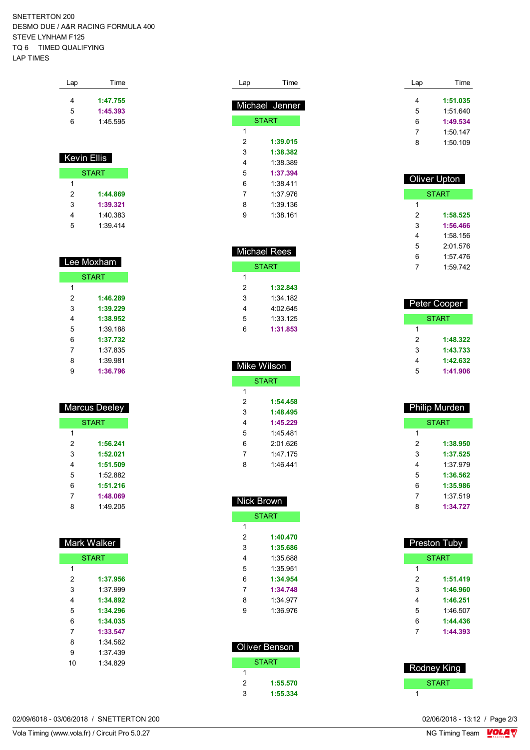SNETTERTON 200 DESMO DUE / A&R RACING FORMULA 400 STEVE LYNHAM F125 TQ 6 TIMED QUALIFYING LAP TIMES

| Lap | Time     |
|-----|----------|
| 4   | 1:47.755 |
| 5   | 1:45.393 |
| 6   | 1:45.595 |
|     |          |

| Kevin Ellis  |          |  |
|--------------|----------|--|
| <b>START</b> |          |  |
| 1            |          |  |
| 2            | 1:44.869 |  |
| 3            | 1:39.321 |  |
| 4            | 1:40.383 |  |
| 5            | 1:39.414 |  |

 $\overline{\phantom{a}}$ 

|              | Lee Moxham |  |
|--------------|------------|--|
| <b>START</b> |            |  |
| 1            |            |  |
| 2            | 1:46.289   |  |
| 3            | 1:39.229   |  |
| 4            | 1:38.952   |  |
| 5            | 1:39 188   |  |
| 6            | 1:37.732   |  |
| 7            | 1:37 835   |  |
| 8            | 1:39 981   |  |
| g            | 1:36.796   |  |

| Marcus Deeley |          |
|---------------|----------|
| <b>START</b>  |          |
| 1             |          |
| 2             | 1:56.241 |
| 3             | 1:52.021 |
| 4             | 1:51.509 |
| 5             | 1:52 882 |
| հ             | 1:51.216 |
| 7             | 1:48.069 |
| ጸ             | 1:49.205 |

| <b>Mark Walker</b> |          |  |
|--------------------|----------|--|
| <b>START</b>       |          |  |
| 1                  |          |  |
| 2                  | 1:37.956 |  |
| 3                  | 1.37999  |  |
| 4                  | 1:34.892 |  |
| 5                  | 1:34.296 |  |
| 6                  | 1:34.035 |  |
| 7                  | 1:33.547 |  |
| 8                  | 1:34.562 |  |
| 9                  | 1:37.439 |  |
| 10                 | 1:34 829 |  |
|                    |          |  |

| Lap | Time           |
|-----|----------------|
|     | Michael Jenner |
|     | <b>START</b>   |
| 1   |                |
| 2   | 1:39.015       |
| 3   | 1:38.382       |
| 4   | 1:38.389       |
| 5   | 1:37.394       |
| 6   | 1:38 411       |
| 7   | 1:37.976       |
| 8   | 1:39.136       |
| g   | 1:38 161       |

| <b>Michael Rees</b> |          |
|---------------------|----------|
| START               |          |
| 1                   |          |
| 2                   | 1:32.843 |
| 3                   | 1:34 182 |
| 4                   | 4:02.645 |
| 5                   | 1:33.125 |
| 6                   | 1:31.853 |
|                     |          |

| Mike Wilson  |          |  |
|--------------|----------|--|
| <b>START</b> |          |  |
| 1            |          |  |
| 2            | 1:54.458 |  |
| 3            | 1:48.495 |  |
| 4            | 1:45.229 |  |
| 5            | 1:45 481 |  |
| 6            | 2:01 626 |  |
| 7            | 1.47 175 |  |
| ጸ            | 1.46441  |  |
|              |          |  |

|               | Nick Brown   |  |  |
|---------------|--------------|--|--|
|               | <b>START</b> |  |  |
| 1             |              |  |  |
| 2             | 1:40.470     |  |  |
| 3             | 1:35.686     |  |  |
| 4             | 1:35.688     |  |  |
| 5             | 1:35 951     |  |  |
| 6             | 1:34.954     |  |  |
| 7             | 1:34.748     |  |  |
| 8             | 1:34 977     |  |  |
| 9             | 1:36.976     |  |  |
|               |              |  |  |
|               |              |  |  |
| Oliver Benson |              |  |  |
|               |              |  |  |

| <b>START</b> |          |
|--------------|----------|
| 1            |          |
| 2            | 1:55.570 |
| з            | 1:55.334 |
|              |          |

| Lap | Time     |
|-----|----------|
|     |          |
| 4   | 1:51.035 |
| 5   | 1:51.640 |
| 6   | 1:49.534 |
| 7   | 1:50.147 |
| ጸ   | 1:50.109 |
|     |          |

| Oliver Upton |          |
|--------------|----------|
| <b>START</b> |          |
| 1            |          |
| 2            | 1:58.525 |
| 3            | 1:56.466 |
| 4            | 1:58.156 |
| 5            | 2:01.576 |
| 6            | 1:57 476 |
|              | 1.59742  |

| Peter Cooper |          |
|--------------|----------|
| START        |          |
| 1            |          |
| 2            | 1:48.322 |
| 3            | 1:43.733 |
| 4            | 1:42.632 |
| 5            | 1:41.906 |

| <b>Philip Murden</b> |          |  |
|----------------------|----------|--|
| <b>START</b>         |          |  |
| 1                    |          |  |
| 2                    | 1:38.950 |  |
| 3                    | 1:37.525 |  |
| 4                    | 1:37.979 |  |
| 5                    | 1:36.562 |  |
| 6                    | 1:35.986 |  |
| 7                    | 1:37 519 |  |
| ጸ                    | 1:34.727 |  |
|                      |          |  |

| Preston Tuby<br><b>START</b> |          |
|------------------------------|----------|
|                              |          |
| 2                            | 1:51.419 |
| 3                            | 1:46.960 |
| 4                            | 1:46.251 |
| 5                            | 1:46.507 |
| 6                            | 1:44.436 |
| 7                            | 1:44.393 |
|                              |          |

| Rodney King  |
|--------------|
| <b>START</b> |
|              |

02/09/6018 - 03/06/2018 / SNETTERTON 200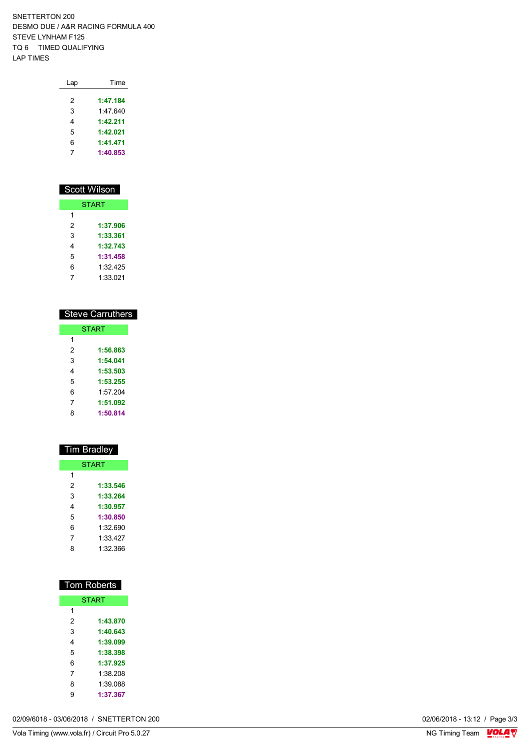SNETTERTON 200 DESMO DUE / A&R RACING FORMULA 400 STEVE LYNHAM F125 TQ 6 TIMED QUALIFYING LAP TIMES

| Lap | Time     |
|-----|----------|
| 2   | 1:47.184 |
| 3   | 1.47 640 |
| 4   | 1:42.211 |
| 5   | 1:42.021 |
| 6   | 1:41.471 |
| 7   | 1:40.853 |
|     |          |

| Scott Wilson |          |  |
|--------------|----------|--|
| <b>START</b> |          |  |
| 1            |          |  |
| 2            | 1:37.906 |  |
| 3            | 1:33.361 |  |
| 4            | 1:32.743 |  |
| 5            | 1:31.458 |  |
| 6            | 1:32 425 |  |
|              | 1:33.021 |  |

| <b>Steve Carruthers</b> |  |  |
|-------------------------|--|--|
| <b>START</b>            |  |  |
|                         |  |  |
| 1:56.863                |  |  |
| 1:54.041                |  |  |
| 1:53.503                |  |  |
| 1:53.255                |  |  |
| 1.57204                 |  |  |
| 1:51.092                |  |  |
| 1:50.814                |  |  |
|                         |  |  |

| Tim Bradley  |          |  |
|--------------|----------|--|
| <b>START</b> |          |  |
| 1            |          |  |
| 2            | 1:33.546 |  |
| 3            | 1:33.264 |  |
| 4            | 1:30.957 |  |
| 5            | 1:30.850 |  |
| 6            | 1:32.690 |  |
| 7            | 1:33.427 |  |
| ጸ            | 1:32 366 |  |
|              |          |  |

| <b>Tom Roberts</b> |          |  |
|--------------------|----------|--|
| <b>START</b>       |          |  |
| 1                  |          |  |
| 2                  | 1:43.870 |  |
| 3                  | 1:40.643 |  |
| 4                  | 1:39.099 |  |
| 5                  | 1:38.398 |  |
| 6                  | 1:37.925 |  |
| 7                  | 1:38.208 |  |
| 8                  | 1:39 088 |  |
| g                  | 1:37.367 |  |

02/09/6018 - 03/06/2018 / SNETTERTON 200

02/06/2018 - 13:12 / Page 3/3<br>NG Timing Team  $\frac{\text{VOLA}}{\text{V}}$